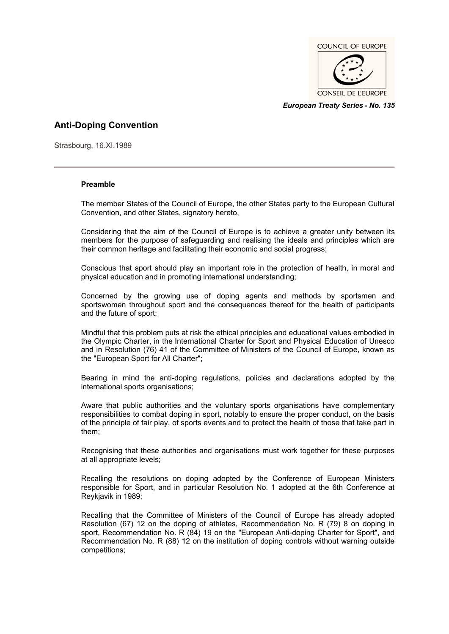

*European Treaty Series* **-** *No. 135*

# **Anti-Doping Convention**

Strasbourg, 16.XI.1989

# **Preamble**

The member States of the Council of Europe, the other States party to the European Cultural Convention, and other States, signatory hereto,

Considering that the aim of the Council of Europe is to achieve a greater unity between its members for the purpose of safeguarding and realising the ideals and principles which are their common heritage and facilitating their economic and social progress;

Conscious that sport should play an important role in the protection of health, in moral and physical education and in promoting international understanding;

Concerned by the growing use of doping agents and methods by sportsmen and sportswomen throughout sport and the consequences thereof for the health of participants and the future of sport;

Mindful that this problem puts at risk the ethical principles and educational values embodied in the Olympic Charter, in the International Charter for Sport and Physical Education of Unesco and in Resolution (76) 41 of the Committee of Ministers of the Council of Europe, known as the "European Sport for All Charter";

Bearing in mind the anti-doping regulations, policies and declarations adopted by the international sports organisations;

Aware that public authorities and the voluntary sports organisations have complementary responsibilities to combat doping in sport, notably to ensure the proper conduct, on the basis of the principle of fair play, of sports events and to protect the health of those that take part in them;

Recognising that these authorities and organisations must work together for these purposes at all appropriate levels;

Recalling the resolutions on doping adopted by the Conference of European Ministers responsible for Sport, and in particular Resolution No. 1 adopted at the 6th Conference at Reykjavik in 1989;

Recalling that the Committee of Ministers of the Council of Europe has already adopted Resolution (67) 12 on the doping of athletes, Recommendation No. R (79) 8 on doping in sport, Recommendation No. R (84) 19 on the "European Anti-doping Charter for Sport", and Recommendation No. R (88) 12 on the institution of doping controls without warning outside competitions;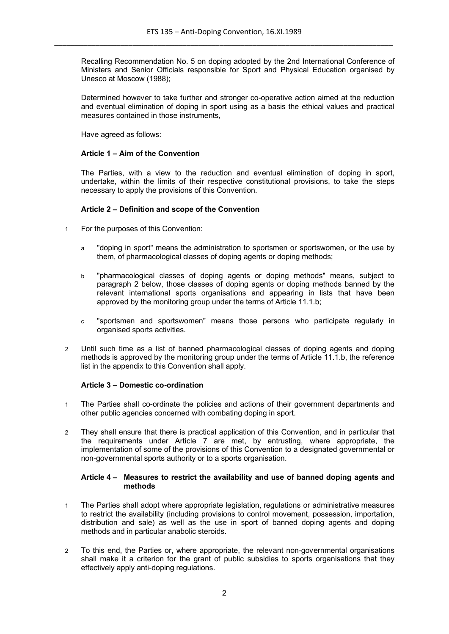Recalling Recommendation No. 5 on doping adopted by the 2nd International Conference of Ministers and Senior Officials responsible for Sport and Physical Education organised by Unesco at Moscow (1988);

Determined however to take further and stronger co-operative action aimed at the reduction and eventual elimination of doping in sport using as a basis the ethical values and practical measures contained in those instruments,

Have agreed as follows:

### **Article 1 – Aim of the Convention**

The Parties, with a view to the reduction and eventual elimination of doping in sport, undertake, within the limits of their respective constitutional provisions, to take the steps necessary to apply the provisions of this Convention.

### **Article 2 – Definition and scope of the Convention**

- 1 For the purposes of this Convention:
	- a "doping in sport" means the administration to sportsmen or sportswomen, or the use by them, of pharmacological classes of doping agents or doping methods;
	- b "pharmacological classes of doping agents or doping methods" means, subject to paragraph 2 below, those classes of doping agents or doping methods banned by the relevant international sports organisations and appearing in lists that have been approved by the monitoring group under the terms of Article 11.1.b;
	- c "sportsmen and sportswomen" means those persons who participate regularly in organised sports activities.
- 2 Until such time as a list of banned pharmacological classes of doping agents and doping methods is approved by the monitoring group under the terms of Article 11.1.b, the reference list in the appendix to this Convention shall apply.

### **Article 3 – Domestic co-ordination**

- 1 The Parties shall co-ordinate the policies and actions of their government departments and other public agencies concerned with combating doping in sport.
- 2 They shall ensure that there is practical application of this Convention, and in particular that the requirements under Article 7 are met, by entrusting, where appropriate, the implementation of some of the provisions of this Convention to a designated governmental or non-governmental sports authority or to a sports organisation.

### **Article 4 – Measures to restrict the availability and use of banned doping agents and methods**

- 1 The Parties shall adopt where appropriate legislation, regulations or administrative measures to restrict the availability (including provisions to control movement, possession, importation, distribution and sale) as well as the use in sport of banned doping agents and doping methods and in particular anabolic steroids.
- 2 To this end, the Parties or, where appropriate, the relevant non-governmental organisations shall make it a criterion for the grant of public subsidies to sports organisations that they effectively apply anti-doping regulations.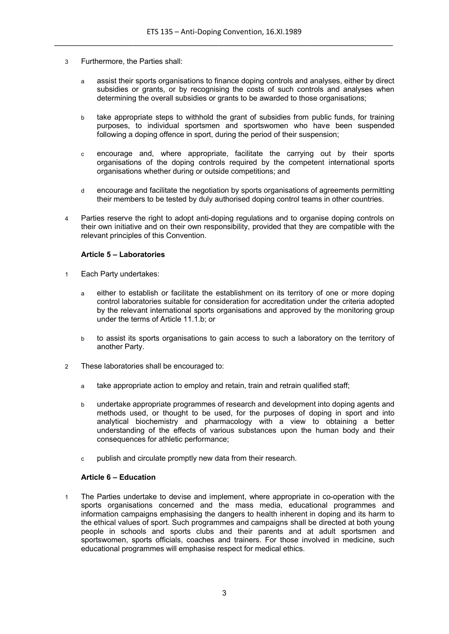- 3 Furthermore, the Parties shall:
	- a assist their sports organisations to finance doping controls and analyses, either by direct subsidies or grants, or by recognising the costs of such controls and analyses when determining the overall subsidies or grants to be awarded to those organisations;
	- b take appropriate steps to withhold the grant of subsidies from public funds, for training purposes, to individual sportsmen and sportswomen who have been suspended following a doping offence in sport, during the period of their suspension;
	- c encourage and, where appropriate, facilitate the carrying out by their sports organisations of the doping controls required by the competent international sports organisations whether during or outside competitions; and
	- d encourage and facilitate the negotiation by sports organisations of agreements permitting their members to be tested by duly authorised doping control teams in other countries.
- 4 Parties reserve the right to adopt anti-doping regulations and to organise doping controls on their own initiative and on their own responsibility, provided that they are compatible with the relevant principles of this Convention.

# **Article 5 – Laboratories**

- 1 Each Party undertakes:
	- a either to establish or facilitate the establishment on its territory of one or more doping control laboratories suitable for consideration for accreditation under the criteria adopted by the relevant international sports organisations and approved by the monitoring group under the terms of Article 11.1.b; or
	- b to assist its sports organisations to gain access to such a laboratory on the territory of another Party.
- 2 These laboratories shall be encouraged to:
	- a take appropriate action to employ and retain, train and retrain qualified staff;
	- b undertake appropriate programmes of research and development into doping agents and methods used, or thought to be used, for the purposes of doping in sport and into analytical biochemistry and pharmacology with a view to obtaining a better understanding of the effects of various substances upon the human body and their consequences for athletic performance;
	- c publish and circulate promptly new data from their research.

# **Article 6 – Education**

1 The Parties undertake to devise and implement, where appropriate in co-operation with the sports organisations concerned and the mass media, educational programmes and information campaigns emphasising the dangers to health inherent in doping and its harm to the ethical values of sport. Such programmes and campaigns shall be directed at both young people in schools and sports clubs and their parents and at adult sportsmen and sportswomen, sports officials, coaches and trainers. For those involved in medicine, such educational programmes will emphasise respect for medical ethics.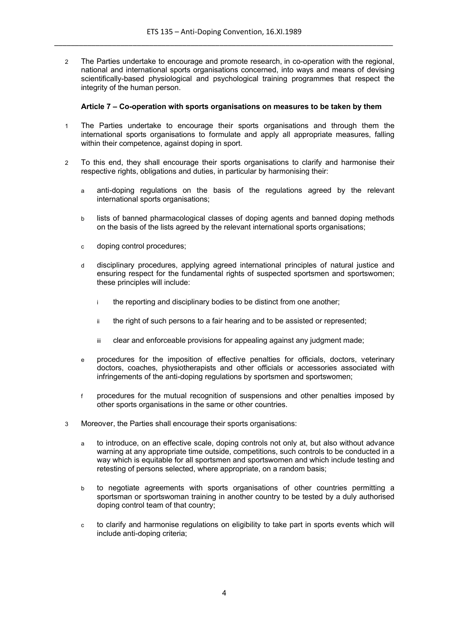2 The Parties undertake to encourage and promote research, in co-operation with the regional, national and international sports organisations concerned, into ways and means of devising scientifically-based physiological and psychological training programmes that respect the integrity of the human person.

### **Article 7 – Co-operation with sports organisations on measures to be taken by them**

- 1 The Parties undertake to encourage their sports organisations and through them the international sports organisations to formulate and apply all appropriate measures, falling within their competence, against doping in sport.
- 2 To this end, they shall encourage their sports organisations to clarify and harmonise their respective rights, obligations and duties, in particular by harmonising their:
	- a anti-doping regulations on the basis of the regulations agreed by the relevant international sports organisations;
	- b lists of banned pharmacological classes of doping agents and banned doping methods on the basis of the lists agreed by the relevant international sports organisations;
	- c doping control procedures;
	- d disciplinary procedures, applying agreed international principles of natural justice and ensuring respect for the fundamental rights of suspected sportsmen and sportswomen; these principles will include:
		- i the reporting and disciplinary bodies to be distinct from one another;
		- ii the right of such persons to a fair hearing and to be assisted or represented;
		- iii clear and enforceable provisions for appealing against any judgment made;
	- e procedures for the imposition of effective penalties for officials, doctors, veterinary doctors, coaches, physiotherapists and other officials or accessories associated with infringements of the anti-doping regulations by sportsmen and sportswomen;
	- f procedures for the mutual recognition of suspensions and other penalties imposed by other sports organisations in the same or other countries.
- 3 Moreover, the Parties shall encourage their sports organisations:
	- a to introduce, on an effective scale, doping controls not only at, but also without advance warning at any appropriate time outside, competitions, such controls to be conducted in a way which is equitable for all sportsmen and sportswomen and which include testing and retesting of persons selected, where appropriate, on a random basis;
	- b to negotiate agreements with sports organisations of other countries permitting a sportsman or sportswoman training in another country to be tested by a duly authorised doping control team of that country;
	- c to clarify and harmonise regulations on eligibility to take part in sports events which will include anti-doping criteria;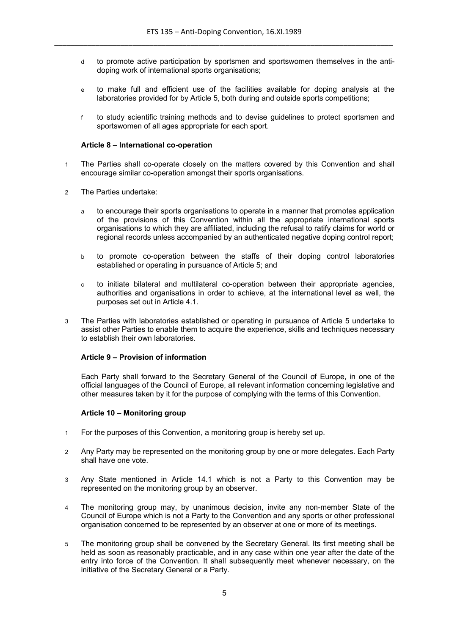- d to promote active participation by sportsmen and sportswomen themselves in the antidoping work of international sports organisations;
- e to make full and efficient use of the facilities available for doping analysis at the laboratories provided for by Article 5, both during and outside sports competitions;
- f to study scientific training methods and to devise guidelines to protect sportsmen and sportswomen of all ages appropriate for each sport.

#### **Article 8 – International co-operation**

- 1 The Parties shall co-operate closely on the matters covered by this Convention and shall encourage similar co-operation amongst their sports organisations.
- 2 The Parties undertake:
	- a to encourage their sports organisations to operate in a manner that promotes application of the provisions of this Convention within all the appropriate international sports organisations to which they are affiliated, including the refusal to ratify claims for world or regional records unless accompanied by an authenticated negative doping control report;
	- b to promote co-operation between the staffs of their doping control laboratories established or operating in pursuance of Article 5; and
	- c to initiate bilateral and multilateral co-operation between their appropriate agencies, authorities and organisations in order to achieve, at the international level as well, the purposes set out in Article 4.1.
- 3 The Parties with laboratories established or operating in pursuance of Article 5 undertake to assist other Parties to enable them to acquire the experience, skills and techniques necessary to establish their own laboratories.

#### **Article 9 – Provision of information**

Each Party shall forward to the Secretary General of the Council of Europe, in one of the official languages of the Council of Europe, all relevant information concerning legislative and other measures taken by it for the purpose of complying with the terms of this Convention.

#### **Article 10 – Monitoring group**

- 1 For the purposes of this Convention, a monitoring group is hereby set up.
- 2 Any Party may be represented on the monitoring group by one or more delegates. Each Party shall have one vote.
- 3 Any State mentioned in Article 14.1 which is not a Party to this Convention may be represented on the monitoring group by an observer.
- 4 The monitoring group may, by unanimous decision, invite any non-member State of the Council of Europe which is not a Party to the Convention and any sports or other professional organisation concerned to be represented by an observer at one or more of its meetings.
- 5 The monitoring group shall be convened by the Secretary General. Its first meeting shall be held as soon as reasonably practicable, and in any case within one year after the date of the entry into force of the Convention. It shall subsequently meet whenever necessary, on the initiative of the Secretary General or a Party.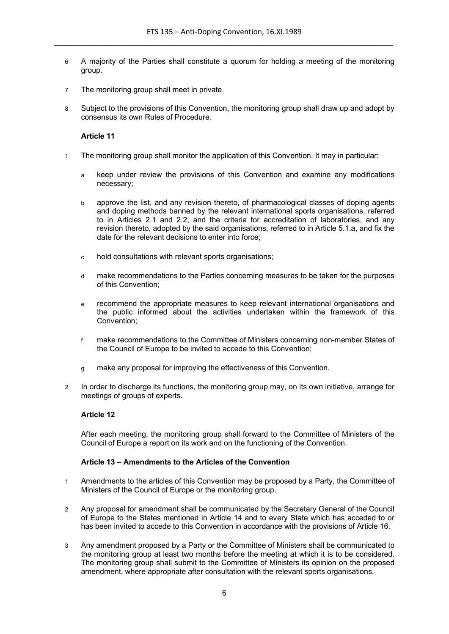- 6 A majority of the Parties shall constitute a quorum for holding a meeting of the monitoring group.
- 7 The monitoring group shall meet in private.
- 8 Subject to the provisions of this Convention, the monitoring group shall draw up and adopt by consensus its own Rules of Procedure.

# **Article 11**

- 1 The monitoring group shall monitor the application of this Convention. It may in particular:
	- a keep under review the provisions of this Convention and examine any modifications necessary;
	- b approve the list, and any revision thereto, of pharmacological classes of doping agents and doping methods banned by the relevant international sports organisations, referred to in Articles 2.1 and 2.2, and the criteria for accreditation of laboratories, and any revision thereto, adopted by the said organisations, referred to in Article 5.1.a, and fix the date for the relevant decisions to enter into force;
	- c hold consultations with relevant sports organisations;
	- d make recommendations to the Parties concerning measures to be taken for the purposes of this Convention;
	- e recommend the appropriate measures to keep relevant international organisations and the public informed about the activities undertaken within the framework of this Convention;
	- f make recommendations to the Committee of Ministers concerning non-member States of the Council of Europe to be invited to accede to this Convention;
	- g make any proposal for improving the effectiveness of this Convention.
- 2 In order to discharge its functions, the monitoring group may, on its own initiative, arrange for meetings of groups of experts.

# **Article 12**

After each meeting, the monitoring group shall forward to the Committee of Ministers of the Council of Europe a report on its work and on the functioning of the Convention.

# **Article 13 – Amendments to the Articles of the Convention**

- 1 Amendments to the articles of this Convention may be proposed by a Party, the Committee of Ministers of the Council of Europe or the monitoring group.
- 2 Any proposal for amendment shall be communicated by the Secretary General of the Council of Europe to the States mentioned in Article 14 and to every State which has acceded to or has been invited to accede to this Convention in accordance with the provisions of Article 16.
- 3 Any amendment proposed by a Party or the Committee of Ministers shall be communicated to the monitoring group at least two months before the meeting at which it is to be considered. The monitoring group shall submit to the Committee of Ministers its opinion on the proposed amendment, where appropriate after consultation with the relevant sports organisations.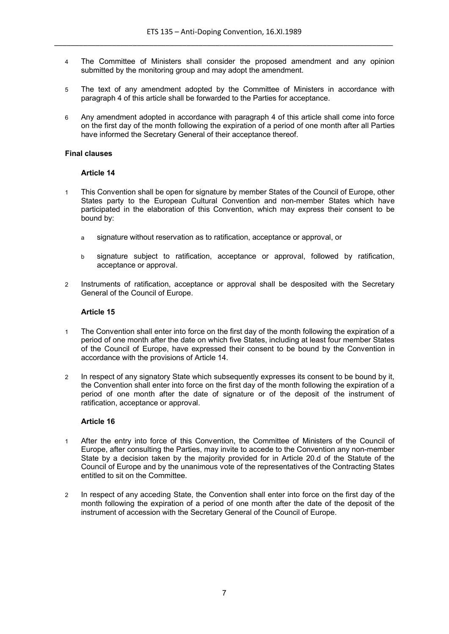- 4 The Committee of Ministers shall consider the proposed amendment and any opinion submitted by the monitoring group and may adopt the amendment.
- 5 The text of any amendment adopted by the Committee of Ministers in accordance with paragraph 4 of this article shall be forwarded to the Parties for acceptance.
- 6 Any amendment adopted in accordance with paragraph 4 of this article shall come into force on the first day of the month following the expiration of a period of one month after all Parties have informed the Secretary General of their acceptance thereof.

# **Final clauses**

### **Article 14**

- 1 This Convention shall be open for signature by member States of the Council of Europe, other States party to the European Cultural Convention and non-member States which have participated in the elaboration of this Convention, which may express their consent to be bound by:
	- a signature without reservation as to ratification, acceptance or approval, or
	- b signature subject to ratification, acceptance or approval, followed by ratification, acceptance or approval.
- 2 Instruments of ratification, acceptance or approval shall be desposited with the Secretary General of the Council of Europe.

### **Article 15**

- 1 The Convention shall enter into force on the first day of the month following the expiration of a period of one month after the date on which five States, including at least four member States of the Council of Europe, have expressed their consent to be bound by the Convention in accordance with the provisions of Article 14.
- 2 In respect of any signatory State which subsequently expresses its consent to be bound by it, the Convention shall enter into force on the first day of the month following the expiration of a period of one month after the date of signature or of the deposit of the instrument of ratification, acceptance or approval.

# **Article 16**

- 1 After the entry into force of this Convention, the Committee of Ministers of the Council of Europe, after consulting the Parties, may invite to accede to the Convention any non-member State by a decision taken by the majority provided for in Article 20.d of the Statute of the Council of Europe and by the unanimous vote of the representatives of the Contracting States entitled to sit on the Committee.
- 2 In respect of any acceding State, the Convention shall enter into force on the first day of the month following the expiration of a period of one month after the date of the deposit of the instrument of accession with the Secretary General of the Council of Europe.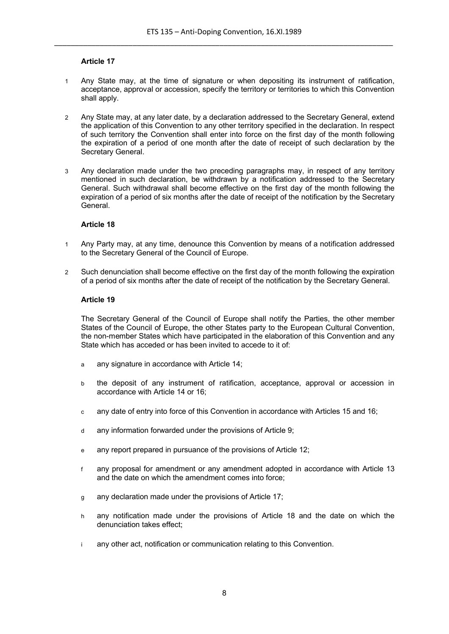# **Article 17**

- 1 Any State may, at the time of signature or when depositing its instrument of ratification, acceptance, approval or accession, specify the territory or territories to which this Convention shall apply.
- 2 Any State may, at any later date, by a declaration addressed to the Secretary General, extend the application of this Convention to any other territory specified in the declaration. In respect of such territory the Convention shall enter into force on the first day of the month following the expiration of a period of one month after the date of receipt of such declaration by the Secretary General.
- 3 Any declaration made under the two preceding paragraphs may, in respect of any territory mentioned in such declaration, be withdrawn by a notification addressed to the Secretary General. Such withdrawal shall become effective on the first day of the month following the expiration of a period of six months after the date of receipt of the notification by the Secretary General.

#### **Article 18**

- 1 Any Party may, at any time, denounce this Convention by means of a notification addressed to the Secretary General of the Council of Europe.
- 2 Such denunciation shall become effective on the first day of the month following the expiration of a period of six months after the date of receipt of the notification by the Secretary General.

#### **Article 19**

The Secretary General of the Council of Europe shall notify the Parties, the other member States of the Council of Europe, the other States party to the European Cultural Convention, the non-member States which have participated in the elaboration of this Convention and any State which has acceded or has been invited to accede to it of:

- a any signature in accordance with Article 14;
- b the deposit of any instrument of ratification, acceptance, approval or accession in accordance with Article 14 or 16;
- c any date of entry into force of this Convention in accordance with Articles 15 and 16;
- d any information forwarded under the provisions of Article 9;
- e any report prepared in pursuance of the provisions of Article 12;
- f any proposal for amendment or any amendment adopted in accordance with Article 13 and the date on which the amendment comes into force;
- g any declaration made under the provisions of Article 17;
- h any notification made under the provisions of Article 18 and the date on which the denunciation takes effect;
- i any other act, notification or communication relating to this Convention.